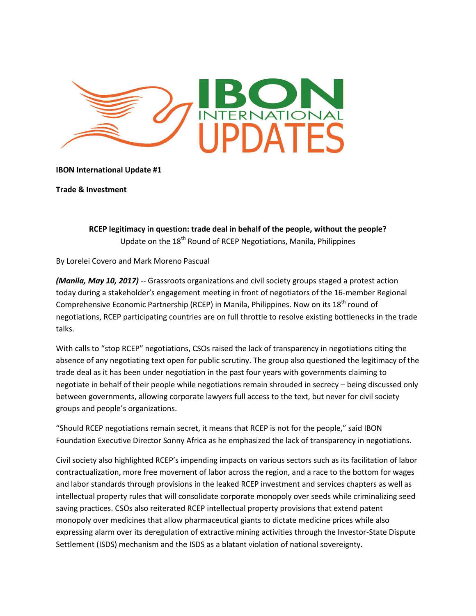

## **IBON International Update #1**

**Trade & Investment** 

RCEP legitimacy in question: trade deal in behalf of the people, without the people? Update on the 18<sup>th</sup> Round of RCEP Negotiations, Manila, Philippines

By Lorelei Covero and Mark Moreno Pascual

(Manila, May 10, 2017) -- Grassroots organizations and civil society groups staged a protest action today during a stakeholder's engagement meeting in front of negotiators of the 16-member Regional Comprehensive Economic Partnership (RCEP) in Manila, Philippines. Now on its 18<sup>th</sup> round of negotiations, RCEP participating countries are on full throttle to resolve existing bottlenecks in the trade talks.

With calls to "stop RCEP" negotiations, CSOs raised the lack of transparency in negotiations citing the absence of any negotiating text open for public scrutiny. The group also questioned the legitimacy of the trade deal as it has been under negotiation in the past four years with governments claiming to negotiate in behalf of their people while negotiations remain shrouded in secrecy - being discussed only between governments, allowing corporate lawyers full access to the text, but never for civil society groups and people's organizations.

"Should RCEP negotiations remain secret, it means that RCEP is not for the people," said IBON Foundation Executive Director Sonny Africa as he emphasized the lack of transparency in negotiations.

Civil society also highlighted RCEP's impending impacts on various sectors such as its facilitation of labor contractualization, more free movement of labor across the region, and a race to the bottom for wages and labor standards through provisions in the leaked RCEP investment and services chapters as well as intellectual property rules that will consolidate corporate monopoly over seeds while criminalizing seed saving practices. CSOs also reiterated RCEP intellectual property provisions that extend patent monopoly over medicines that allow pharmaceutical giants to dictate medicine prices while also expressing alarm over its deregulation of extractive mining activities through the Investor-State Dispute Settlement (ISDS) mechanism and the ISDS as a blatant violation of national sovereignty.